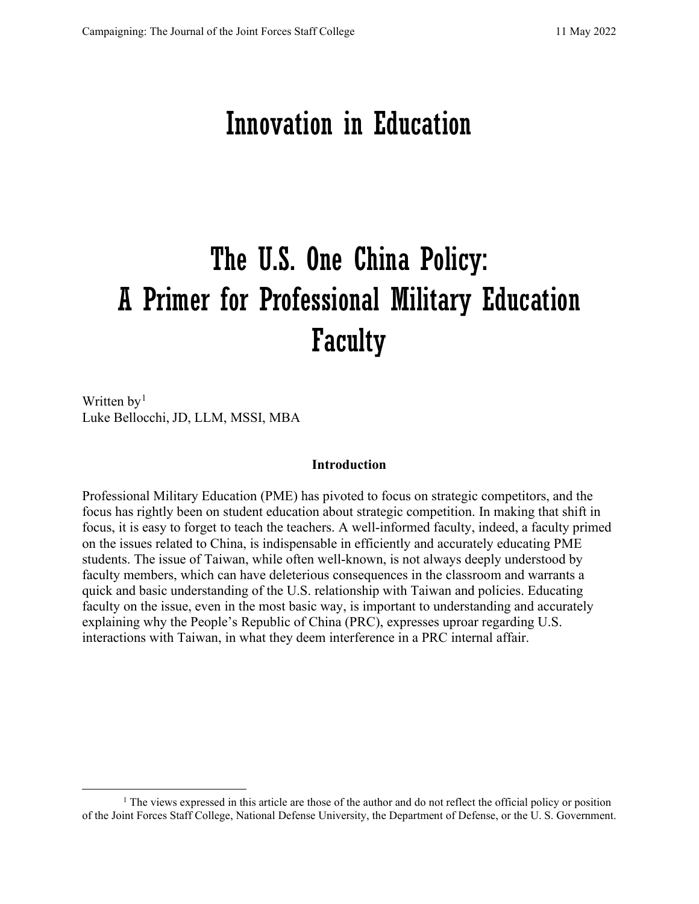# Innovation in Education

# The U.S. One China Policy: A Primer for Professional Military Education Faculty

Written  $by<sup>1</sup>$  $by<sup>1</sup>$  $by<sup>1</sup>$ Luke Bellocchi, JD, LLM, MSSI, MBA

#### **Introduction**

Professional Military Education (PME) has pivoted to focus on strategic competitors, and the focus has rightly been on student education about strategic competition. In making that shift in focus, it is easy to forget to teach the teachers. A well-informed faculty, indeed, a faculty primed on the issues related to China, is indispensable in efficiently and accurately educating PME students. The issue of Taiwan, while often well-known, is not always deeply understood by faculty members, which can have deleterious consequences in the classroom and warrants a quick and basic understanding of the U.S. relationship with Taiwan and policies. Educating faculty on the issue, even in the most basic way, is important to understanding and accurately explaining why the People's Republic of China (PRC), expresses uproar regarding U.S. interactions with Taiwan, in what they deem interference in a PRC internal affair.

<span id="page-0-0"></span><sup>&</sup>lt;sup>1</sup> The views expressed in this article are those of the author and do not reflect the official policy or position of the Joint Forces Staff College, National Defense University, the Department of Defense, or the U. S. Government.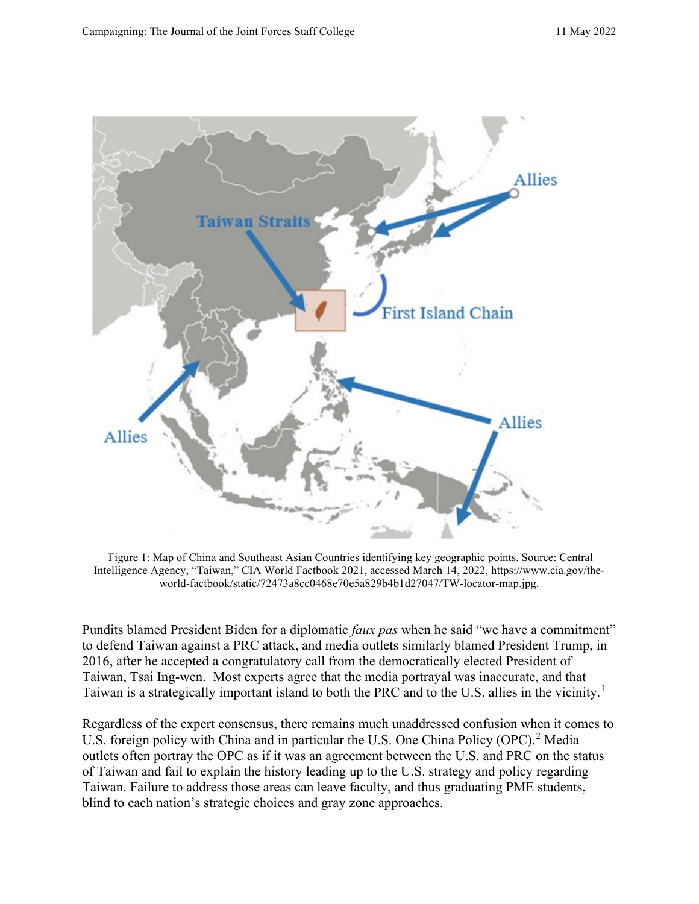

Figure 1: Map of China and Southeast Asian Countries identifying key geographic points. Source: Central Intelligence Agency, "Taiwan," CIA World Factbook 2021, accessed March 14, 2022, https://www.cia.gov/theworld-factbook/static/72473a8cc0468e70e5a829b4b1d27047/TW-locator-map.jpg.

Pundits blamed President Biden for a diplomatic *faux pas* when he said "we have a commitment" to defend Taiwan against a PRC attack, and media outlets similarly blamed President Trump, in 2016, after he accepted a congratulatory call from the democratically elected President of Taiwan, Tsai Ing-wen. Most experts agree that the media portrayal was inaccurate, and that Taiwan is a strategically important island to both the PRC and to the U.S. allies in the vicinity.<sup>[1](#page-8-0)</sup>

Regardless of the expert consensus, there remains much unaddressed confusion when it comes to U.S. foreign policy with China and in particular the U.S. One China Policy (OPC).<sup>[2](#page-8-1)</sup> Media outlets often portray the OPC as if it was an agreement between the U.S. and PRC on the status of Taiwan and fail to explain the history leading up to the U.S. strategy and policy regarding Taiwan. Failure to address those areas can leave faculty, and thus graduating PME students, blind to each nation's strategic choices and gray zone approaches.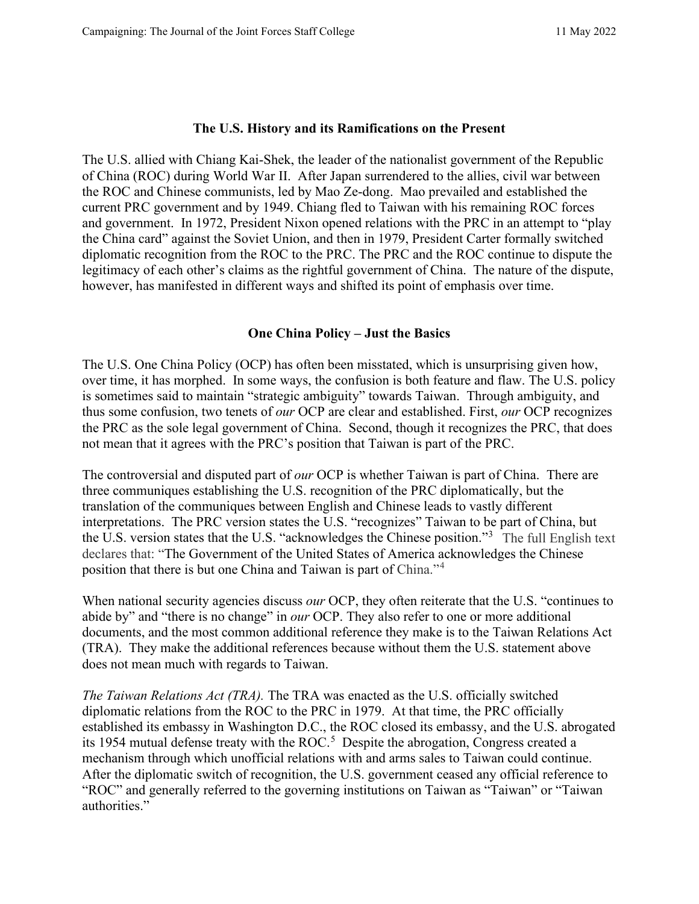#### **The U.S. History and its Ramifications on the Present**

The U.S. allied with Chiang Kai-Shek, the leader of the nationalist government of the Republic of China (ROC) during World War II. After Japan surrendered to the allies, civil war between the ROC and Chinese communists, led by Mao Ze-dong. Mao prevailed and established the current PRC government and by 1949. Chiang fled to Taiwan with his remaining ROC forces and government. In 1972, President Nixon opened relations with the PRC in an attempt to "play the China card" against the Soviet Union, and then in 1979, President Carter formally switched diplomatic recognition from the ROC to the PRC. The PRC and the ROC continue to dispute the legitimacy of each other's claims as the rightful government of China. The nature of the dispute, however, has manifested in different ways and shifted its point of emphasis over time.

#### **One China Policy – Just the Basics**

The U.S. One China Policy (OCP) has often been misstated, which is unsurprising given how, over time, it has morphed. In some ways, the confusion is both feature and flaw. The U.S. policy is sometimes said to maintain "strategic ambiguity" towards Taiwan. Through ambiguity, and thus some confusion, two tenets of *our* OCP are clear and established. First, *our* OCP recognizes the PRC as the sole legal government of China. Second, though it recognizes the PRC, that does not mean that it agrees with the PRC's position that Taiwan is part of the PRC.

The controversial and disputed part of *our* OCP is whether Taiwan is part of China. There are three communiques establishing the U.S. recognition of the PRC diplomatically, but the translation of the communiques between English and Chinese leads to vastly different interpretations. The PRC version states the U.S. "recognizes" Taiwan to be part of China, but the U.S. version states that the U.S. "acknowledges the Chinese position."[3](#page-8-2) The full English text declares that: "The Government of the United States of America acknowledges the Chinese position that there is but one China and Taiwan is part of China."<sup>[4](#page-8-3)</sup>

When national security agencies discuss *our* OCP, they often reiterate that the U.S. "continues to abide by" and "there is no change" in *our* OCP. They also refer to one or more additional documents, and the most common additional reference they make is to the Taiwan Relations Act (TRA). They make the additional references because without them the U.S. statement above does not mean much with regards to Taiwan.

*The Taiwan Relations Act (TRA).* The TRA was enacted as the U.S. officially switched diplomatic relations from the ROC to the PRC in 1979. At that time, the PRC officially established its embassy in Washington D.C., the ROC closed its embassy, and the U.S. abrogated its 19[5](#page-9-0)4 mutual defense treaty with the ROC.<sup>5</sup> Despite the abrogation, Congress created a mechanism through which unofficial relations with and arms sales to Taiwan could continue. After the diplomatic switch of recognition, the U.S. government ceased any official reference to "ROC" and generally referred to the governing institutions on Taiwan as "Taiwan" or "Taiwan authorities."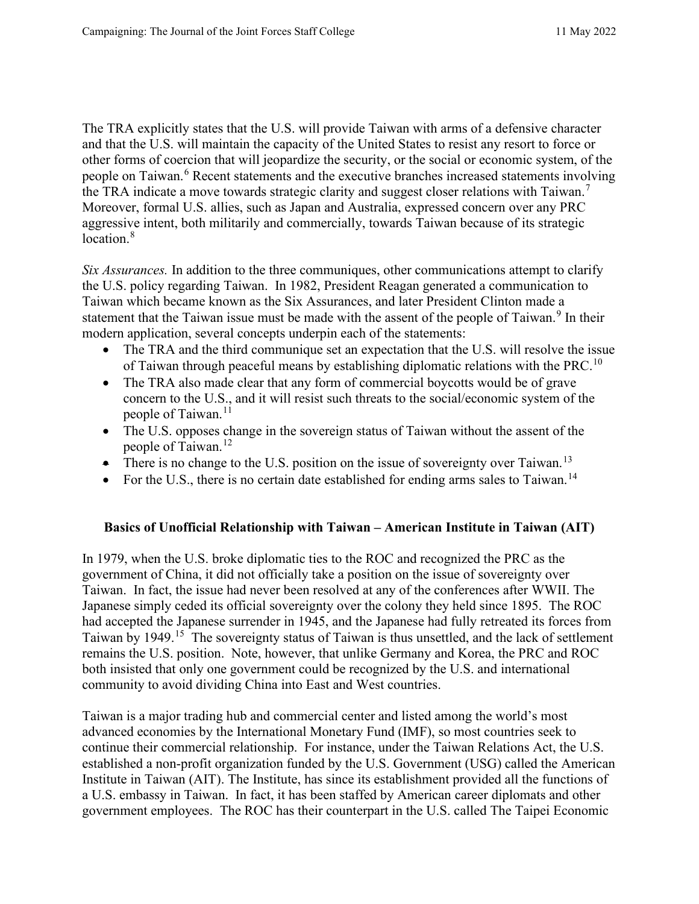The TRA explicitly states that the U.S. will provide Taiwan with arms of a defensive character and that the U.S. will maintain the capacity of the United States to resist any resort to force or other forms of coercion that will jeopardize the security, or the social or economic system, of the people on Taiwan.<sup>[6](#page-9-1)</sup> Recent statements and the executive branches increased statements involving the TRA indicate a move towards strategic clarity and suggest closer relations with Taiwan.<sup>[7](#page-9-2)</sup> Moreover, formal U.S. allies, such as Japan and Australia, expressed concern over any PRC aggressive intent, both militarily and commercially, towards Taiwan because of its strategic location.<sup>[8](#page-9-3)</sup>

*Six Assurances.* In addition to the three communiques, other communications attempt to clarify the U.S. policy regarding Taiwan. In 1982, President Reagan generated a communication to Taiwan which became known as the Six Assurances, and later President Clinton made a statement that the Taiwan issue must be made with the assent of the people of Taiwan.<sup>[9](#page-9-4)</sup> In their modern application, several concepts underpin each of the statements:

- The TRA and the third communique set an expectation that the U.S. will resolve the issue of Taiwan through peaceful means by establishing diplomatic relations with the PRC.<sup>[10](#page-9-5)</sup>
- The TRA also made clear that any form of commercial boycotts would be of grave concern to the U.S., and it will resist such threats to the social/economic system of the people of Taiwan.<sup>[11](#page-9-6)</sup>
- The U.S. opposes change in the sovereign status of Taiwan without the assent of the people of Taiwan.<sup>[12](#page-9-7)</sup>
- There is no change to the U.S. position on the issue of sovereignty over Taiwan.<sup>[13](#page-9-8)</sup>
- For the U.S., there is no certain date established for ending arms sales to Taiwan.<sup>[14](#page-9-9)</sup>

## **Basics of Unofficial Relationship with Taiwan – American Institute in Taiwan (AIT)**

In 1979, when the U.S. broke diplomatic ties to the ROC and recognized the PRC as the government of China, it did not officially take a position on the issue of sovereignty over Taiwan. In fact, the issue had never been resolved at any of the conferences after WWII. The Japanese simply ceded its official sovereignty over the colony they held since 1895. The ROC had accepted the Japanese surrender in 1945, and the Japanese had fully retreated its forces from Taiwan by 1949.[15](#page-9-10) The sovereignty status of Taiwan is thus unsettled, and the lack of settlement remains the U.S. position. Note, however, that unlike Germany and Korea, the PRC and ROC both insisted that only one government could be recognized by the U.S. and international community to avoid dividing China into East and West countries.

Taiwan is a major trading hub and commercial center and listed among the world's most advanced economies by the International Monetary Fund (IMF), so most countries seek to continue their commercial relationship. For instance, under the Taiwan Relations Act, the U.S. established a non-profit organization funded by the U.S. Government (USG) called the American Institute in Taiwan (AIT). The Institute, has since its establishment provided all the functions of a U.S. embassy in Taiwan. In fact, it has been staffed by American career diplomats and other government employees. The ROC has their counterpart in the U.S. called The Taipei Economic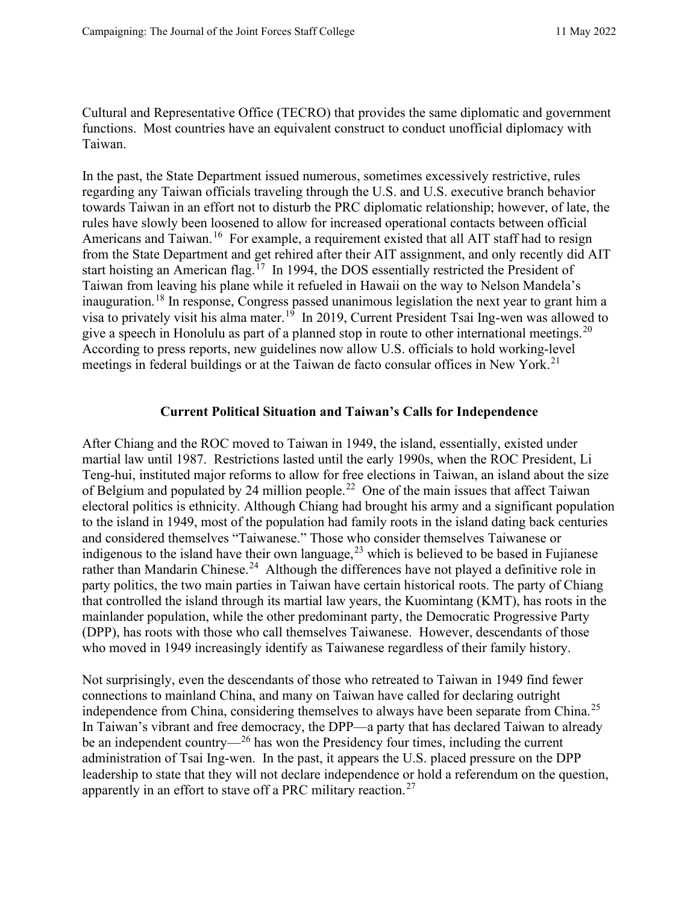Cultural and Representative Office (TECRO) that provides the same diplomatic and government functions. Most countries have an equivalent construct to conduct unofficial diplomacy with Taiwan.

In the past, the State Department issued numerous, sometimes excessively restrictive, rules regarding any Taiwan officials traveling through the U.S. and U.S. executive branch behavior towards Taiwan in an effort not to disturb the PRC diplomatic relationship; however, of late, the rules have slowly been loosened to allow for increased operational contacts between official Americans and Taiwan.<sup>[16](#page-9-11)</sup> For example, a requirement existed that all AIT staff had to resign from the State Department and get rehired after their AIT assignment, and only recently did AIT start hoisting an American flag.<sup> $17$ </sup> In 1994, the DOS essentially restricted the President of Taiwan from leaving his plane while it refueled in Hawaii on the way to Nelson Mandela's inauguration.<sup>[18](#page-9-13)</sup> In response, Congress passed unanimous legislation the next year to grant him a visa to privately visit his alma mater.[19](#page-9-14) In 2019, Current President Tsai Ing-wen was allowed to give a speech in Honolulu as part of a planned stop in route to other international meetings.<sup>20</sup> According to press reports, new guidelines now allow U.S. officials to hold working-level meetings in federal buildings or at the Taiwan de facto consular offices in New York.<sup>[21](#page-9-16)</sup>

#### **Current Political Situation and Taiwan's Calls for Independence**

After Chiang and the ROC moved to Taiwan in 1949, the island, essentially, existed under martial law until 1987. Restrictions lasted until the early 1990s, when the ROC President, Li Teng-hui, instituted major reforms to allow for free elections in Taiwan, an island about the size of Belgium and populated by 24 million people.[22](#page-9-17) One of the main issues that affect Taiwan electoral politics is ethnicity. Although Chiang had brought his army and a significant population to the island in 1949, most of the population had family roots in the island dating back centuries and considered themselves "Taiwanese." Those who consider themselves Taiwanese or indigenous to the island have their own language,  $^{23}$  $^{23}$  $^{23}$  which is believed to be based in Fujianese rather than Mandarin Chinese.<sup>24</sup> Although the differences have not played a definitive role in party politics, the two main parties in Taiwan have certain historical roots. The party of Chiang that controlled the island through its martial law years, the Kuomintang (KMT), has roots in the mainlander population, while the other predominant party, the Democratic Progressive Party (DPP), has roots with those who call themselves Taiwanese. However, descendants of those who moved in 1949 increasingly identify as Taiwanese regardless of their family history.

Not surprisingly, even the descendants of those who retreated to Taiwan in 1949 find fewer connections to mainland China, and many on Taiwan have called for declaring outright independence from China, considering themselves to always have been separate from China.<sup>[25](#page-10-2)</sup> In Taiwan's vibrant and free democracy, the DPP—a party that has declared Taiwan to already be an independent country— $^{26}$  $^{26}$  $^{26}$  has won the Presidency four times, including the current administration of Tsai Ing-wen. In the past, it appears the U.S. placed pressure on the DPP leadership to state that they will not declare independence or hold a referendum on the question, apparently in an effort to stave off a PRC military reaction.<sup>[27](#page-10-4)</sup>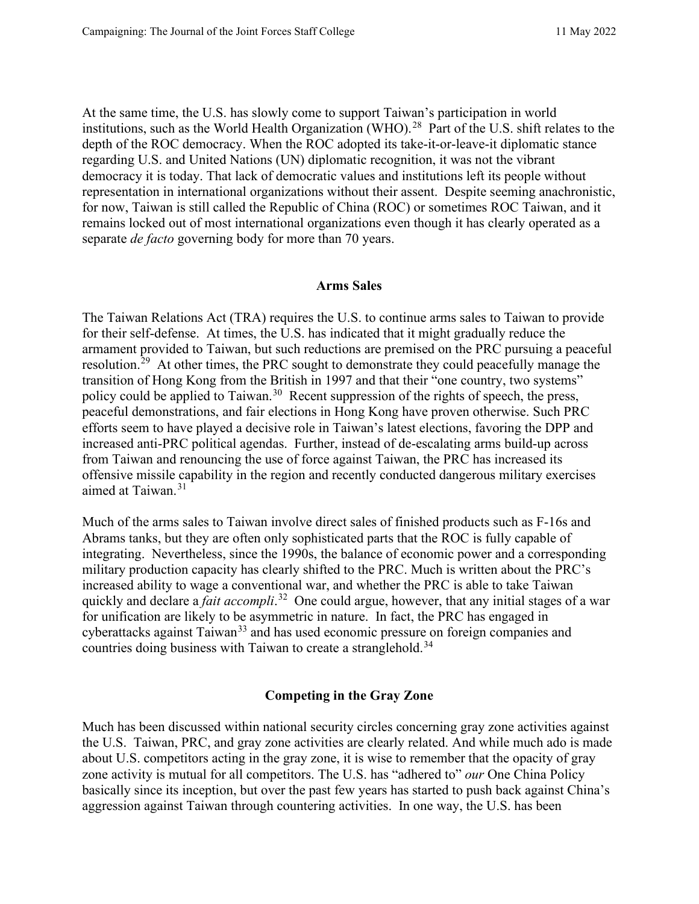At the same time, the U.S. has slowly come to support Taiwan's participation in world institutions, such as the World Health Organization (WHO).<sup>28</sup> Part of the U.S. shift relates to the depth of the ROC democracy. When the ROC adopted its take-it-or-leave-it diplomatic stance regarding U.S. and United Nations (UN) diplomatic recognition, it was not the vibrant democracy it is today. That lack of democratic values and institutions left its people without representation in international organizations without their assent. Despite seeming anachronistic, for now, Taiwan is still called the Republic of China (ROC) or sometimes ROC Taiwan, and it remains locked out of most international organizations even though it has clearly operated as a separate *de facto* governing body for more than 70 years.

#### **Arms Sales**

The Taiwan Relations Act (TRA) requires the U.S. to continue arms sales to Taiwan to provide for their self-defense. At times, the U.S. has indicated that it might gradually reduce the armament provided to Taiwan, but such reductions are premised on the PRC pursuing a peaceful resolution.<sup>29</sup> At other times, the PRC sought to demonstrate they could peacefully manage the transition of Hong Kong from the British in 1997 and that their "one country, two systems" policy could be applied to Taiwan.<sup>[30](#page-10-7)</sup> Recent suppression of the rights of speech, the press, peaceful demonstrations, and fair elections in Hong Kong have proven otherwise. Such PRC efforts seem to have played a decisive role in Taiwan's latest elections, favoring the DPP and increased anti-PRC political agendas. Further, instead of de-escalating arms build-up across from Taiwan and renouncing the use of force against Taiwan, the PRC has increased its offensive missile capability in the region and recently conducted dangerous military exercises aimed at Taiwan.<sup>31</sup>

Much of the arms sales to Taiwan involve direct sales of finished products such as F-16s and Abrams tanks, but they are often only sophisticated parts that the ROC is fully capable of integrating. Nevertheless, since the 1990s, the balance of economic power and a corresponding military production capacity has clearly shifted to the PRC. Much is written about the PRC's increased ability to wage a conventional war, and whether the PRC is able to take Taiwan quickly and declare a *fait accompli*. [32](#page-10-9) One could argue, however, that any initial stages of a war for unification are likely to be asymmetric in nature. In fact, the PRC has engaged in cyberattacks against Taiwan<sup>[33](#page-10-10)</sup> and has used economic pressure on foreign companies and countries doing business with Taiwan to create a stranglehold.<sup>34</sup>

#### **Competing in the Gray Zone**

Much has been discussed within national security circles concerning gray zone activities against the U.S. Taiwan, PRC, and gray zone activities are clearly related. And while much ado is made about U.S. competitors acting in the gray zone, it is wise to remember that the opacity of gray zone activity is mutual for all competitors. The U.S. has "adhered to" *our* One China Policy basically since its inception, but over the past few years has started to push back against China's aggression against Taiwan through countering activities. In one way, the U.S. has been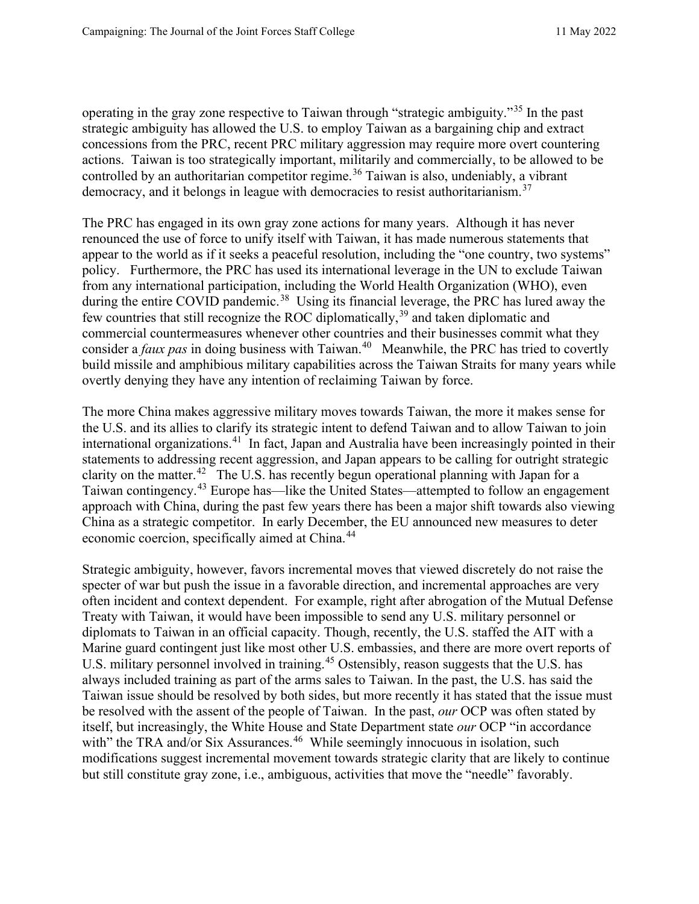operating in the gray zone respective to Taiwan through "strategic ambiguity."[35](#page-10-12) In the past strategic ambiguity has allowed the U.S. to employ Taiwan as a bargaining chip and extract concessions from the PRC, recent PRC military aggression may require more overt countering actions. Taiwan is too strategically important, militarily and commercially, to be allowed to be controlled by an authoritarian competitor regime.<sup>[36](#page-10-13)</sup> Taiwan is also, undeniably, a vibrant democracy, and it belongs in league with democracies to resist authoritarianism.<sup>37</sup>

The PRC has engaged in its own gray zone actions for many years. Although it has never renounced the use of force to unify itself with Taiwan, it has made numerous statements that appear to the world as if it seeks a peaceful resolution, including the "one country, two systems" policy. Furthermore, the PRC has used its international leverage in the UN to exclude Taiwan from any international participation, including the World Health Organization (WHO), even during the entire COVID pandemic.<sup>38</sup> Using its financial leverage, the PRC has lured away the few countries that still recognize the ROC diplomatically,[39](#page-10-16) and taken diplomatic and commercial countermeasures whenever other countries and their businesses commit what they consider a *faux pas* in doing business with Taiwan.<sup>40</sup> Meanwhile, the PRC has tried to covertly build missile and amphibious military capabilities across the Taiwan Straits for many years while overtly denying they have any intention of reclaiming Taiwan by force.

The more China makes aggressive military moves towards Taiwan, the more it makes sense for the U.S. and its allies to clarify its strategic intent to defend Taiwan and to allow Taiwan to join international organizations.[41](#page-11-0) In fact, Japan and Australia have been increasingly pointed in their statements to addressing recent aggression, and Japan appears to be calling for outright strategic clarity on the matter.<sup>42</sup> The U.S. has recently begun operational planning with Japan for a Taiwan contingency.[43](#page-11-2) Europe has—like the United States—attempted to follow an engagement approach with China, during the past few years there has been a major shift towards also viewing China as a strategic competitor. In early December, the EU announced new measures to deter economic coercion, specifically aimed at China.<sup>44</sup>

Strategic ambiguity, however, favors incremental moves that viewed discretely do not raise the specter of war but push the issue in a favorable direction, and incremental approaches are very often incident and context dependent. For example, right after abrogation of the Mutual Defense Treaty with Taiwan, it would have been impossible to send any U.S. military personnel or diplomats to Taiwan in an official capacity. Though, recently, the U.S. staffed the AIT with a Marine guard contingent just like most other U.S. embassies, and there are more overt reports of U.S. military personnel involved in training.<sup>[45](#page-11-4)</sup> Ostensibly, reason suggests that the U.S. has always included training as part of the arms sales to Taiwan. In the past, the U.S. has said the Taiwan issue should be resolved by both sides, but more recently it has stated that the issue must be resolved with the assent of the people of Taiwan. In the past, *our* OCP was often stated by itself, but increasingly, the White House and State Department state *our* OCP "in accordance with" the TRA and/or Six Assurances.<sup>[46](#page-11-5)</sup> While seemingly innocuous in isolation, such modifications suggest incremental movement towards strategic clarity that are likely to continue but still constitute gray zone, i.e., ambiguous, activities that move the "needle" favorably.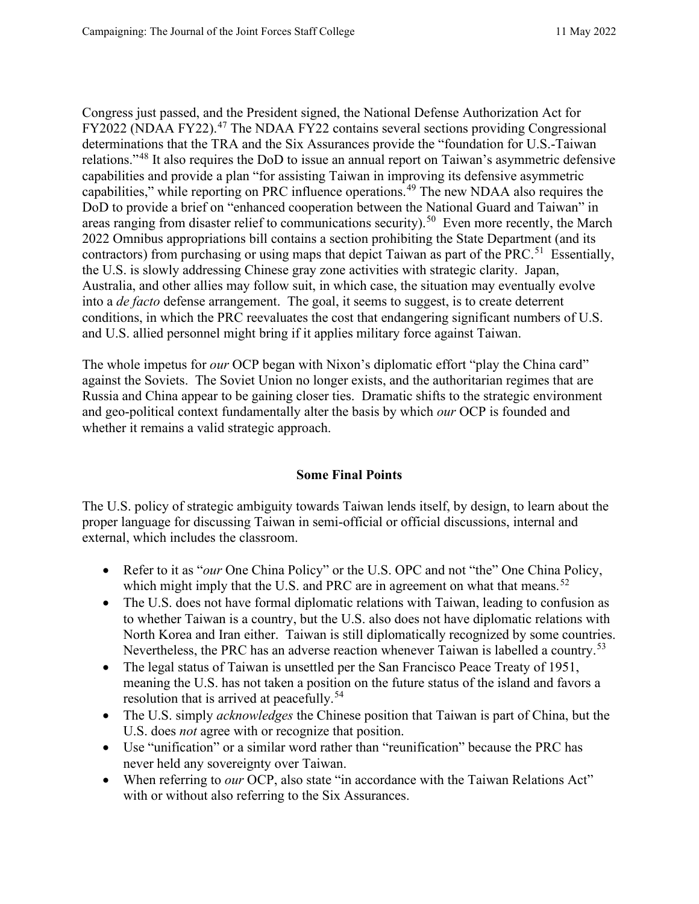Congress just passed, and the President signed, the National Defense Authorization Act for FY2022 (NDAA FY22).<sup>[47](#page-11-6)</sup> The NDAA FY22 contains several sections providing Congressional determinations that the TRA and the Six Assurances provide the "foundation for U.S.-Taiwan relations."[48](#page-11-7) It also requires the DoD to issue an annual report on Taiwan's asymmetric defensive capabilities and provide a plan "for assisting Taiwan in improving its defensive asymmetric capabilities," while reporting on PRC influence operations.<sup>[49](#page-11-8)</sup> The new NDAA also requires the DoD to provide a brief on "enhanced cooperation between the National Guard and Taiwan" in areas ranging from disaster relief to communications security).<sup>50</sup> Even more recently, the March 2022 Omnibus appropriations bill contains a section prohibiting the State Department (and its contractors) from purchasing or using maps that depict Taiwan as part of the PRC.<sup>51</sup> Essentially, the U.S. is slowly addressing Chinese gray zone activities with strategic clarity. Japan, Australia, and other allies may follow suit, in which case, the situation may eventually evolve into a *de facto* defense arrangement. The goal, it seems to suggest, is to create deterrent conditions, in which the PRC reevaluates the cost that endangering significant numbers of U.S. and U.S. allied personnel might bring if it applies military force against Taiwan.

The whole impetus for *our* OCP began with Nixon's diplomatic effort "play the China card" against the Soviets. The Soviet Union no longer exists, and the authoritarian regimes that are Russia and China appear to be gaining closer ties. Dramatic shifts to the strategic environment and geo-political context fundamentally alter the basis by which *our* OCP is founded and whether it remains a valid strategic approach.

## **Some Final Points**

The U.S. policy of strategic ambiguity towards Taiwan lends itself, by design, to learn about the proper language for discussing Taiwan in semi-official or official discussions, internal and external, which includes the classroom.

- Refer to it as "*our* One China Policy" or the U.S. OPC and not "the" One China Policy, which might imply that the U.S. and PRC are in agreement on what that means.<sup>52</sup>
- The U.S. does not have formal diplomatic relations with Taiwan, leading to confusion as to whether Taiwan is a country, but the U.S. also does not have diplomatic relations with North Korea and Iran either. Taiwan is still diplomatically recognized by some countries. Nevertheless, the PRC has an adverse reaction whenever Taiwan is labelled a country.<sup>[53](#page-11-12)</sup>
- The legal status of Taiwan is unsettled per the San Francisco Peace Treaty of 1951, meaning the U.S. has not taken a position on the future status of the island and favors a resolution that is arrived at peacefully.<sup>[54](#page-11-13)</sup>
- The U.S. simply *acknowledges* the Chinese position that Taiwan is part of China, but the U.S. does *not* agree with or recognize that position.
- Use "unification" or a similar word rather than "reunification" because the PRC has never held any sovereignty over Taiwan.
- When referring to *our* OCP, also state "in accordance with the Taiwan Relations Act" with or without also referring to the Six Assurances.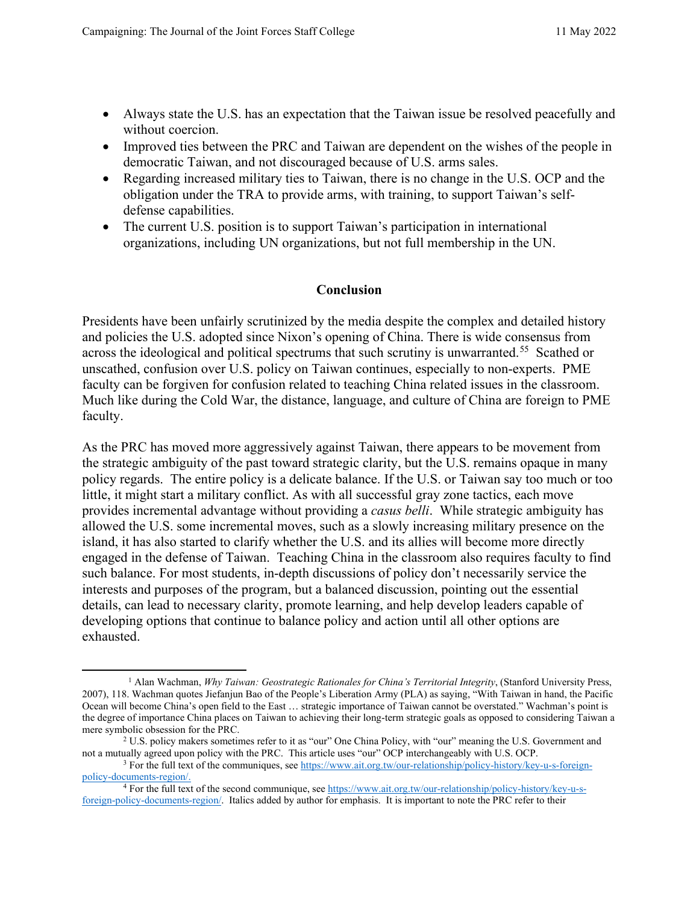- Always state the U.S. has an expectation that the Taiwan issue be resolved peacefully and without coercion.
- Improved ties between the PRC and Taiwan are dependent on the wishes of the people in democratic Taiwan, and not discouraged because of U.S. arms sales.
- Regarding increased military ties to Taiwan, there is no change in the U.S. OCP and the obligation under the TRA to provide arms, with training, to support Taiwan's selfdefense capabilities.
- The current U.S. position is to support Taiwan's participation in international organizations, including UN organizations, but not full membership in the UN.

#### **Conclusion**

Presidents have been unfairly scrutinized by the media despite the complex and detailed history and policies the U.S. adopted since Nixon's opening of China. There is wide consensus from across the ideological and political spectrums that such scrutiny is unwarranted.<sup>55</sup> Scathed or unscathed, confusion over U.S. policy on Taiwan continues, especially to non-experts. PME faculty can be forgiven for confusion related to teaching China related issues in the classroom. Much like during the Cold War, the distance, language, and culture of China are foreign to PME faculty.

As the PRC has moved more aggressively against Taiwan, there appears to be movement from the strategic ambiguity of the past toward strategic clarity, but the U.S. remains opaque in many policy regards. The entire policy is a delicate balance. If the U.S. or Taiwan say too much or too little, it might start a military conflict. As with all successful gray zone tactics, each move provides incremental advantage without providing a *casus belli*. While strategic ambiguity has allowed the U.S. some incremental moves, such as a slowly increasing military presence on the island, it has also started to clarify whether the U.S. and its allies will become more directly engaged in the defense of Taiwan. Teaching China in the classroom also requires faculty to find such balance. For most students, in-depth discussions of policy don't necessarily service the interests and purposes of the program, but a balanced discussion, pointing out the essential details, can lead to necessary clarity, promote learning, and help develop leaders capable of developing options that continue to balance policy and action until all other options are exhausted.

<span id="page-8-0"></span><sup>1</sup> Alan Wachman, *Why Taiwan: Geostrategic Rationales for China's Territorial Integrity*, (Stanford University Press, 2007), 118. Wachman quotes Jiefanjun Bao of the People's Liberation Army (PLA) as saying, "With Taiwan in hand, the Pacific Ocean will become China's open field to the East … strategic importance of Taiwan cannot be overstated." Wachman's point is the degree of importance China places on Taiwan to achieving their long-term strategic goals as opposed to considering Taiwan a mere symbolic obsession for the PRC.

<span id="page-8-1"></span><sup>&</sup>lt;sup>2</sup> U.S. policy makers sometimes refer to it as "our" One China Policy, with "our" meaning the U.S. Government and not a mutually agreed upon policy with the PRC. This article uses "our" OCP interchangeably with U.S. OCP.<br><sup>3</sup> For the full text of the communiques, see https://www.ait.org.tw/our-relationship/policy-history/key-u-s-foreig

<span id="page-8-2"></span>[policy-documents-region/.](https://www.ait.org.tw/our-relationship/policy-history/key-u-s-foreign-policy-documents-region/)

<span id="page-8-3"></span><sup>&</sup>lt;sup>4</sup> For the full text of the second communique, se[e https://www.ait.org.tw/our-relationship/policy-history/key-u-s](https://www.ait.org.tw/our-relationship/policy-history/key-u-s-foreign-policy-documents-region/)[foreign-policy-documents-region/.](https://www.ait.org.tw/our-relationship/policy-history/key-u-s-foreign-policy-documents-region/) Italics added by author for emphasis. It is important to note the PRC refer to their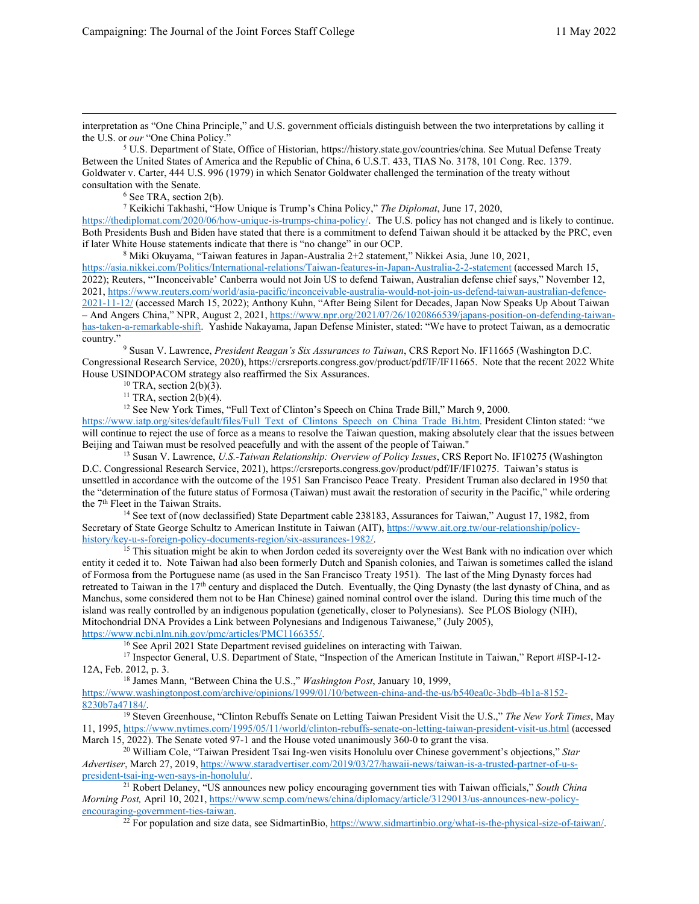interpretation as "One China Principle," and U.S. government officials distinguish between the two interpretations by calling it the U.S. or *our* "One China Policy."

<span id="page-9-0"></span><sup>5</sup> U.S. Department of State, Office of Historian, https://history.state.gov/countries/china. See Mutual Defense Treaty Between the United States of America and the Republic of China, 6 U.S.T. 433, TIAS No. 3178, 101 Cong. Rec. 1379. Goldwater v. Carter, 444 U.S. 996 (1979) in which Senator Goldwater challenged the termination of the treaty without consultation with the Senate.

<sup>6</sup> See TRA, section 2(b).

<sup>7</sup> Keikichi Takhashi, "How Unique is Trump's China Policy," *The Diplomat*, June 17, 2020,

<span id="page-9-2"></span><span id="page-9-1"></span>[https://thediplomat.com/2020/06/how-unique-is-trumps-china-policy/.](https://thediplomat.com/2020/06/how-unique-is-trumps-china-policy/) The U.S. policy has not changed and is likely to continue. Both Presidents Bush and Biden have stated that there is a commitment to defend Taiwan should it be attacked by the PRC, even if later White House statements indicate that there is "no change" in our OCP.

<sup>8</sup> Miki Okuyama, "Taiwan features in Japan-Australia 2+2 statement," Nikkei Asia, June 10, 2021,

<span id="page-9-3"></span><https://asia.nikkei.com/Politics/International-relations/Taiwan-features-in-Japan-Australia-2-2-statement> (accessed March 15, 2022); Reuters, "'Inconceivable' Canberra would not Join US to defend Taiwan, Australian defense chief says," November 12, 2021[, https://www.reuters.com/world/asia-pacific/inconceivable-australia-would-not-join-us-defend-taiwan-australian-defence-](https://www.reuters.com/world/asia-pacific/inconceivable-australia-would-not-join-us-defend-taiwan-australian-defence-2021-11-12/)[2021-11-12/](https://www.reuters.com/world/asia-pacific/inconceivable-australia-would-not-join-us-defend-taiwan-australian-defence-2021-11-12/) (accessed March 15, 2022); Anthony Kuhn, "After Being Silent for Decades, Japan Now Speaks Up About Taiwan – And Angers China," NPR, August 2, 2021[, https://www.npr.org/2021/07/26/1020866539/japans-position-on-defending-taiwan](https://www.npr.org/2021/07/26/1020866539/japans-position-on-defending-taiwan-has-taken-a-remarkable-shift)[has-taken-a-remarkable-shift.](https://www.npr.org/2021/07/26/1020866539/japans-position-on-defending-taiwan-has-taken-a-remarkable-shift) Yashide Nakayama, Japan Defense Minister, stated: "We have to protect Taiwan, as a democratic country."

<span id="page-9-4"></span><sup>9</sup> Susan V. Lawrence, *President Reagan's Six Assurances to Taiwan*, CRS Report No. IF11665 (Washington D.C. Congressional Research Service, 2020), https://crsreports.congress.gov/product/pdf/IF/IF11665. Note that the recent 2022 White House USINDOPACOM strategy also reaffirmed the Six Assurances.<br><sup>10</sup> TRA, section 2(b)(3).

<sup>11</sup> TRA, section  $2(b)(4)$ .

<sup>12</sup> See New York Times, "Full Text of Clinton's Speech on China Trade Bill," March 9, 2000.

<span id="page-9-7"></span><span id="page-9-6"></span><span id="page-9-5"></span>[https://www.iatp.org/sites/default/files/Full\\_Text\\_of\\_Clintons\\_Speech\\_on\\_China\\_Trade\\_Bi.htm.](https://www.iatp.org/sites/default/files/Full_Text_of_Clintons_Speech_on_China_Trade_Bi.htm) President Clinton stated: "we will continue to reject the use of force as a means to resolve the Taiwan question, making absolutely clear that the issues between Beijing and Taiwan must be resolved peacefully and with the assent of the people of Taiwan."

<span id="page-9-8"></span><sup>13</sup> Susan V. Lawrence, *U.S.-Taiwan Relationship: Overview of Policy Issues*, CRS Report No. IF10275 (Washington D.C. Congressional Research Service, 2021), https://crsreports.congress.gov/product/pdf/IF/IF10275. Taiwan's status is unsettled in accordance with the outcome of the 1951 San Francisco Peace Treaty. President Truman also declared in 1950 that the "determination of the future status of Formosa (Taiwan) must await the restoration of security in the Pacific," while ordering the  $7<sup>th</sup>$  Fleet in the Taiwan Straits.<br><sup>14</sup> See text of (now declassified) State Department cable 238183, Assurances for Taiwan," August 17, 1982, from

<span id="page-9-9"></span>Secretary of State George Schultz to American Institute in Taiwan (AIT), https://www.ait.org.tw/our-relationship/policy-history/key-u-s-foreign-policy-documents-region/six-assurances-1982/.

<span id="page-9-10"></span><sup>15</sup> This situation might be akin to when Jordon ceded its sovereignty over the West Bank with no indication over which entity it ceded it to. Note Taiwan had also been formerly Dutch and Spanish colonies, and Taiwan is sometimes called the island of Formosa from the Portuguese name (as used in the San Francisco Treaty 1951). The last of the Ming Dynasty forces had retreated to Taiwan in the 17th century and displaced the Dutch. Eventually, the Qing Dynasty (the last dynasty of China, and as Manchus, some considered them not to be Han Chinese) gained nominal control over the island. During this time much of the island was really controlled by an indigenous population (genetically, closer to Polynesians). See PLOS Biology (NIH), Mitochondrial DNA Provides a Link between Polynesians and Indigenous Taiwanese," (July 2005), https://www.ncbi.nlm.nih.gov/pmc/articles/PMC1166355/.

<span id="page-9-12"></span><span id="page-9-11"></span><sup>16</sup> See April 2021 State Department revised guidelines on interacting with Taiwan.<br><sup>17</sup> Inspector General, U.S. Department of State, "Inspection of the American Institute in Taiwan," Report #ISP-I-12-12A, Feb. 2012, p. 3.

<sup>18</sup> James Mann, "Between China the U.S.," *Washington Post*, January 10, 1999,

<span id="page-9-13"></span>[https://www.washingtonpost.com/archive/opinions/1999/01/10/between-china-and-the-us/b540ea0c-3bdb-4b1a-8152-](https://www.washingtonpost.com/archive/opinions/1999/01/10/between-china-and-the-us/b540ea0c-3bdb-4b1a-8152-8230b7a47184/)

<span id="page-9-14"></span><sup>19</sup> Steven Greenhouse, "Clinton Rebuffs Senate on Letting Taiwan President Visit the U.S.," *The New York Times*, May 11, 1995,<https://www.nytimes.com/1995/05/11/world/clinton-rebuffs-senate-on-letting-taiwan-president-visit-us.html> (accessed March 15, 2022). The Senate voted 97-1 and the House voted unanimously 360-0 to grant the visa.

<span id="page-9-15"></span><sup>20</sup> William Cole, "Taiwan President Tsai Ing-wen visits Honolulu over Chinese government's objections," Star *Advertiser*, March 27, 2019, https://www.staradvertiser.com/2019/03/27/hawaii-news/taiwan-is-a-trusted-partner-of-u-s-<br>president-tsai-ing-wen-says-in-honolulu/.

<span id="page-9-17"></span><span id="page-9-16"></span><sup>21</sup> Robert Delaney, "US announces new policy encouraging government ties with Taiwan officials," *South China Morning Post, April 10, 2021, https://www.scmp.com/news/china/diplomacy/article/3129013/us-announces-new-policy-*<br>encouraging-government-ties-taiwan.

<sup>22</sup> For population and size data, see SidmartinBio[, https://www.sidmartinbio.org/what-is-the-physical-size-of-taiwan/.](https://www.sidmartinbio.org/what-is-the-physical-size-of-taiwan/)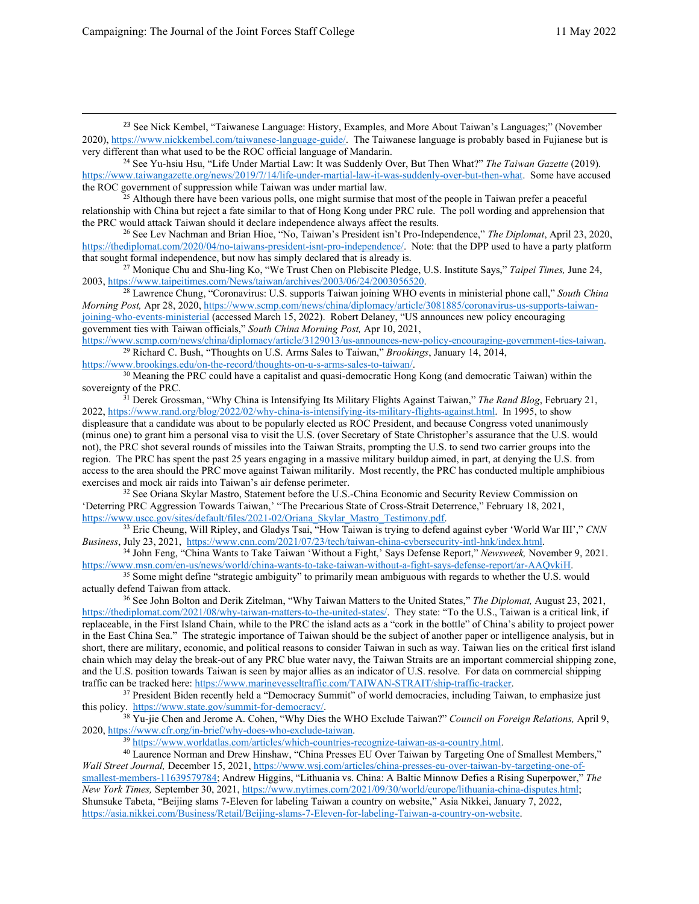<span id="page-10-0"></span><sup>23</sup> See Nick Kembel, "Taiwanese Language: History, Examples, and More About Taiwan's Languages;" (November 2020)[, https://www.nickkembel.com/taiwanese-language-guide/.](https://www.nickkembel.com/taiwanese-language-guide/) The Taiwanese language is probably based in Fujianese but is very different than what used to be the ROC official language of Mandarin.

<span id="page-10-1"></span><sup>24</sup> See Yu-hsiu Hsu, "Life Under Martial Law: It was Suddenly Over, But Then What?" *The Taiwan Gazette* (2019). [https://www.taiwangazette.org/news/2019/7/14/life-under-martial-law-it-was-suddenly-over-but-then-what.](https://www.taiwangazette.org/news/2019/7/14/life-under-martial-law-it-was-suddenly-over-but-then-what) Some have accused

<span id="page-10-2"></span> $\hat{z}^2$  Although there have been various polls, one might surmise that most of the people in Taiwan prefer a peaceful relationship with China but reject a fate similar to that of Hong Kong under PRC rule. The poll wording and apprehension that the PRC would attack Taiwan should it declare independence always affect the results.

<span id="page-10-3"></span><sup>26</sup> See Lev Nachman and Brian Hioe, "No, Taiwan's President isn't Pro-Independence," *The Diplomat*, April 23, 2020, [https://thediplomat.com/2020/04/no-taiwans-president-isnt-pro-independence/.](https://thediplomat.com/2020/04/no-taiwans-president-isnt-pro-independence/) Note: that the DPP used to have a party platform that sought formal independence, but now has simply declared that is already is.

<span id="page-10-4"></span><sup>27</sup> Monique Chu and Shu-ling Ko, "We Trust Chen on Plebiscite Pledge, U.S. Institute Says," *Taipei Times*, June 24, 2003, https://www.taipeitimes.com/News/taiwan/archives/2003/06/24/2003056520.

<span id="page-10-5"></span><sup>28</sup> Lawrence Chung, "Coronavirus: U.S. supports Taiwan joining WHO events in ministerial phone call," *South China Morning Post,* Apr 28, 2020[, https://www.scmp.com/news/china/diplomacy/article/3081885/coronavirus-us-supports-taiwan](https://www.scmp.com/news/china/diplomacy/article/3081885/coronavirus-us-supports-taiwan-joining-who-events-ministerial)[joining-who-events-ministerial](https://www.scmp.com/news/china/diplomacy/article/3081885/coronavirus-us-supports-taiwan-joining-who-events-ministerial) (accessed March 15, 2022). Robert Delaney, "US announces new policy encouraging government ties with Taiwan officials," *South China Morning Post,* Apr 10, 2021,

<span id="page-10-6"></span>[https://www.scmp.com/news/china/diplomacy/article/3129013/us-announces-new-policy-encouraging-government-ties-taiwan.](https://www.scmp.com/news/china/diplomacy/article/3129013/us-announces-new-policy-encouraging-government-ties-taiwan) 29 Richard C. Bush, "Thoughts on U.S. Arms Sales to Taiwan," *Brookings*, January 14, 2014,

<span id="page-10-7"></span>https://www.brookings.edu/on-the-record/thoughts-on-u-s-arms-sales-to-taiwan/.<br><sup>30</sup> Meaning the PRC could have a capitalist and quasi-democratic Hong Kong (and democratic Taiwan) within the<br>sovereignty of the PRC.

<span id="page-10-8"></span><sup>31</sup> Derek Grossman, "Why China is Intensifying Its Military Flights Against Taiwan," *The Rand Blog*, February 21, 2022[, https://www.rand.org/blog/2022/02/why-china-is-intensifying-its-military-flights-against.html.](https://www.rand.org/blog/2022/02/why-china-is-intensifying-its-military-flights-against.html) In 1995, to show displeasure that a candidate was about to be popularly elected as ROC President, and because Congress voted unanimously (minus one) to grant him a personal visa to visit the U.S. (over Secretary of State Christopher's assurance that the U.S. would not), the PRC shot several rounds of missiles into the Taiwan Straits, prompting the U.S. to send two carrier groups into the region. The PRC has spent the past 25 years engaging in a massive military buildup aimed, in part, at denying the U.S. from access to the area should the PRC move against Taiwan militarily. Most recently, the PRC has conducted multiple amphibious exercises and mock air raids into Taiwan's air defense perimeter.

<span id="page-10-9"></span><sup>32</sup> See Oriana Skylar Mastro, Statement before the U.S.-China Economic and Security Review Commission on 'Deterring PRC Aggression Towards Taiwan,' "The Precarious State of Cross-Strait Deterrence," February 18, 2021, https://www.uscc.gov/sites/default/files/2021-02/Oriana\_Skylar\_Mastro\_Testimony.pdf.

<span id="page-10-10"></span>[https://www.uscc.gov/sites/default/files/2021-02/Oriana\\_Skylar\\_Mastro\\_Testimony.pdf.](https://www.uscc.gov/sites/default/files/2021-02/Oriana_Skylar_Mastro_Testimony.pdf) 33 Eric Cheung, Will Ripley, and Gladys Tsai, "How Taiwan is trying to defend against cyber 'World War III'," *CNN* 

<span id="page-10-11"></span>Business, July 23, 2021, [https://www.cnn.com/2021/07/23/tech/taiwan-china-cybersecurity-intl-hnk/index.html.](https://www.cnn.com/2021/07/23/tech/taiwan-china-cybersecurity-intl-hnk/index.html)<br><sup>34</sup> John Feng, "China Wants to Take Taiwan 'Without a Fight,' Says Defense Report," *Newsweek*, November 9, 2021 [https://www.msn.com/en-us/news/world/china-wants-to-take-taiwan-without-a-fight-says-defense-report/ar-AAQvkiH.](https://www.msn.com/en-us/news/world/china-wants-to-take-taiwan-without-a-fight-says-defense-report/ar-AAQvkiH)

<span id="page-10-12"></span><sup>35</sup> Some might define "strategic ambiguity" to primarily mean ambiguous with regards to whether the U.S. would actually defend Taiwan from attack.

<span id="page-10-13"></span><sup>36</sup> See John Bolton and Derik Zitelman, "Why Taiwan Matters to the United States," *The Diplomat*, August 23, 2021, [https://thediplomat.com/2021/08/why-taiwan-matters-to-the-united-states/.](https://thediplomat.com/2021/08/why-taiwan-matters-to-the-united-states/) They state: "To the U.S., Taiwan is a critical link, if replaceable, in the First Island Chain, while to the PRC the island acts as a "cork in the bottle" of China's ability to project power in the East China Sea." The strategic importance of Taiwan should be the subject of another paper or intelligence analysis, but in short, there are military, economic, and political reasons to consider Taiwan in such as way. Taiwan lies on the critical first island chain which may delay the break-out of any PRC blue water navy, the Taiwan Straits are an important commercial shipping zone, and the U.S. position towards Taiwan is seen by major allies as an indicator of U.S. resolve. For data on commercial shipping traffic can be tracked here: https://www.marinevesseltraffic.com/TAIWAN-STRAIT/ship-traffic-trac

<span id="page-10-14"></span> $37$  President Biden recently held a "Democracy Summit" of world democracies, including Taiwan, to emphasize just this policy. [https://www.state.gov/summit-for-democracy/.](https://www.state.gov/summit-for-democracy/)

<span id="page-10-15"></span><sup>38</sup> Yu-jie Chen and Jerome A. Cohen, "Why Dies the WHO Exclude Taiwan?" *Council on Foreign Relations,* April 9, 2020[, https://www.cfr.org/in-brief/why-does-who-exclude-taiwan.](https://www.cfr.org/in-brief/why-does-who-exclude-taiwan)

<sup>39</sup> [https://www.worldatlas.com/articles/which-countries-recognize-taiwan-as-a-country.html.](https://www.worldatlas.com/articles/which-countries-recognize-taiwan-as-a-country.html)

<span id="page-10-17"></span><span id="page-10-16"></span><sup>40</sup> Laurence Norman and Drew Hinshaw, "China Presses EU Over Taiwan by Targeting One of Smallest Members," *Wall Street Journal,* December 15, 2021[, https://www.wsj.com/articles/china-presses-eu-over-taiwan-by-targeting-one-of](https://www.wsj.com/articles/china-presses-eu-over-taiwan-by-targeting-one-of-smallest-members-11639579784)[smallest-members-11639579784;](https://www.wsj.com/articles/china-presses-eu-over-taiwan-by-targeting-one-of-smallest-members-11639579784) Andrew Higgins, "Lithuania vs. China: A Baltic Minnow Defies a Rising Superpower," *The New York Times,* September 30, 2021[, https://www.nytimes.com/2021/09/30/world/europe/lithuania-china-disputes.html;](https://www.nytimes.com/2021/09/30/world/europe/lithuania-china-disputes.html) Shunsuke Tabeta, "Beijing slams 7-Eleven for labeling Taiwan a country on website," Asia Nikkei, January 7, 2022, [https://asia.nikkei.com/Business/Retail/Beijing-slams-7-Eleven-for-labeling-Taiwan-a-country-on-website.](https://asia.nikkei.com/Business/Retail/Beijing-slams-7-Eleven-for-labeling-Taiwan-a-country-on-website)